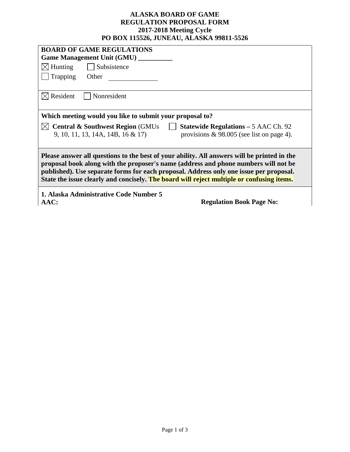## **ALASKA BOARD OF GAME REGULATION PROPOSAL FORM 2017-2018 Meeting Cycle PO BOX 115526, JUNEAU, ALASKA 99811-5526**

| <b>BOARD OF GAME REGULATIONS</b><br><b>Game Management Unit (GMU)</b> _____                                                                                                                                                                                                                                                                                               |                                              |  |  |  |
|---------------------------------------------------------------------------------------------------------------------------------------------------------------------------------------------------------------------------------------------------------------------------------------------------------------------------------------------------------------------------|----------------------------------------------|--|--|--|
|                                                                                                                                                                                                                                                                                                                                                                           |                                              |  |  |  |
| $\boxtimes$ Hunting<br>  Subsistence                                                                                                                                                                                                                                                                                                                                      |                                              |  |  |  |
| Trapping<br>Other                                                                                                                                                                                                                                                                                                                                                         |                                              |  |  |  |
|                                                                                                                                                                                                                                                                                                                                                                           |                                              |  |  |  |
| $\boxtimes$ Resident<br>Nonresident                                                                                                                                                                                                                                                                                                                                       |                                              |  |  |  |
|                                                                                                                                                                                                                                                                                                                                                                           |                                              |  |  |  |
| Which meeting would you like to submit your proposal to?                                                                                                                                                                                                                                                                                                                  |                                              |  |  |  |
| <b>Central &amp; Southwest Region (GMUs)</b>                                                                                                                                                                                                                                                                                                                              | <b>Statewide Regulations – 5 AAC Ch. 92</b>  |  |  |  |
| 9, 10, 11, 13, 14A, 14B, 16 & 17)                                                                                                                                                                                                                                                                                                                                         | provisions $\&$ 98.005 (see list on page 4). |  |  |  |
|                                                                                                                                                                                                                                                                                                                                                                           |                                              |  |  |  |
| Please answer all questions to the best of your ability. All answers will be printed in the<br>proposal book along with the proposer's name (address and phone numbers will not be<br>published). Use separate forms for each proposal. Address only one issue per proposal.<br>State the issue clearly and concisely. The board will reject multiple or confusing items. |                                              |  |  |  |
| 1. Alaska Administrative Code Number 5                                                                                                                                                                                                                                                                                                                                    |                                              |  |  |  |
| AAC:                                                                                                                                                                                                                                                                                                                                                                      | <b>Regulation Book Page No:</b>              |  |  |  |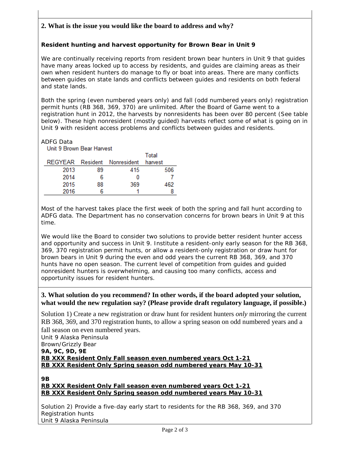# **2. What is the issue you would like the board to address and why?**

### **Resident hunting and harvest opportunity for Brown Bear in Unit 9**

We are continually receiving reports from resident brown bear hunters in Unit 9 that guides have many areas locked up to access by residents, and guides are claiming areas as their own when resident hunters do manage to fly or boat into areas. There are many conflicts between guides on state lands and conflicts between guides and residents on both federal and state lands.

Both the spring (even numbered years only) and fall (odd numbered years only) registration permit hunts (RB 368, 369, 370) are unlimited. After the Board of Game went to a registration hunt in 2012, the harvests by nonresidents has been over 80 percent (See table below). These high nonresident (mostly guided) harvests reflect some of what is going on in Unit 9 with resident access problems and conflicts between guides and residents.

**ADFG Data**<br>**Unit 9 Brown Bear Harvest** 

|      |    |                              | Total   |
|------|----|------------------------------|---------|
|      |    | REGYEAR Resident Nonresident | harvest |
| 2013 | 89 | 415                          | 506     |
| 2014 | 6  | 0                            |         |
| 2015 | 88 | 369                          | 462     |
| 2016 | հ  |                              |         |

Most of the harvest takes place the first week of both the spring and fall hunt according to ADFG data. The Department has no conservation concerns for brown bears in Unit 9 at this time.

We would like the Board to consider two solutions to provide better resident hunter access and opportunity and success in Unit 9. Institute a resident-only early season for the RB 368, 369, 370 registration permit hunts, or allow a resident-only registration or draw hunt for brown bears in Unit 9 during the even and odd years the current RB 368, 369, and 370 hunts have no open season. The current level of competition from guides and guided nonresident hunters is overwhelming, and causing too many conflicts, access and opportunity issues for resident hunters.

#### **3. What solution do you recommend? In other words, if the board adopted your solution, what would the new regulation say? (Please provide draft regulatory language, if possible.)**

Solution 1) Create a new registration or draw hunt for resident hunters *only* mirroring the current RB 368, 369, and 370 registration hunts, to allow a spring season on odd numbered years and a fall season on even numbered years.

Unit 9 Alaska Peninsula Brown/Grizzly Bear **9A, 9C, 9D, 9E RB XXX Resident Only Fall season even numbered years Oct 1-21 RB XXX Resident Only Spring season odd numbered years May 10-31**

**9B**

#### **RB XXX Resident Only Fall season even numbered years Oct 1-21 RB XXX Resident Only Spring season odd numbered years May 10-31**

Solution 2) Provide a five-day early start to residents for the RB 368, 369, and 370 Registration hunts Unit 9 Alaska Peninsula